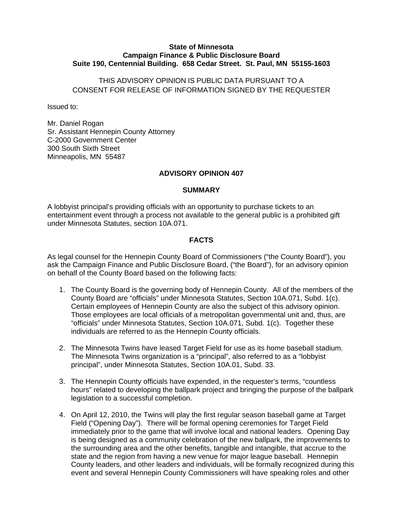### **State of Minnesota Campaign Finance & Public Disclosure Board Suite 190, Centennial Building. 658 Cedar Street. St. Paul, MN 55155-1603**

## THIS ADVISORY OPINION IS PUBLIC DATA PURSUANT TO A CONSENT FOR RELEASE OF INFORMATION SIGNED BY THE REQUESTER

Issued to:

Mr. Daniel Rogan Sr. Assistant Hennepin County Attorney C-2000 Government Center 300 South Sixth Street Minneapolis, MN 55487

### **ADVISORY OPINION 407**

#### **SUMMARY**

A lobbyist principal's providing officials with an opportunity to purchase tickets to an entertainment event through a process not available to the general public is a prohibited gift under Minnesota Statutes, section 10A.071.

### **FACTS**

As legal counsel for the Hennepin County Board of Commissioners ("the County Board"), you ask the Campaign Finance and Public Disclosure Board, ("the Board"), for an advisory opinion on behalf of the County Board based on the following facts:

- 1. The County Board is the governing body of Hennepin County. All of the members of the County Board are "officials" under Minnesota Statutes, Section 10A.071, Subd. 1(c). Certain employees of Hennepin County are also the subject of this advisory opinion. Those employees are local officials of a metropolitan governmental unit and, thus, are "officials" under Minnesota Statutes, Section 10A.071, Subd. 1(c). Together these individuals are referred to as the Hennepin County officials.
- 2. The Minnesota Twins have leased Target Field for use as its home baseball stadium. The Minnesota Twins organization is a "principal", also referred to as a "lobbyist principal", under Minnesota Statutes, Section 10A.01, Subd. 33.
- 3. The Hennepin County officials have expended, in the requester's terms, "countless hours" related to developing the ballpark project and bringing the purpose of the ballpark legislation to a successful completion.
- 4. On April 12, 2010, the Twins will play the first regular season baseball game at Target Field ("Opening Day"). There will be formal opening ceremonies for Target Field immediately prior to the game that will involve local and national leaders. Opening Day is being designed as a community celebration of the new ballpark, the improvements to the surrounding area and the other benefits, tangible and intangible, that accrue to the state and the region from having a new venue for major league baseball. Hennepin County leaders, and other leaders and individuals, will be formally recognized during this event and several Hennepin County Commissioners will have speaking roles and other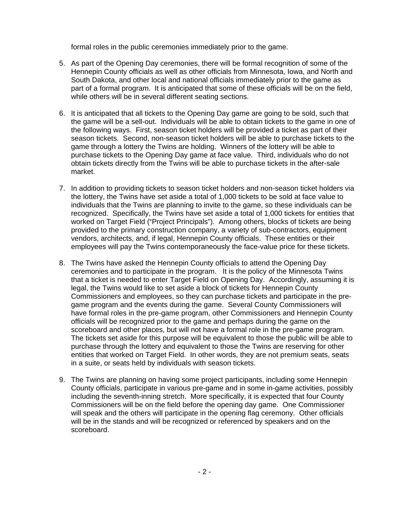formal roles in the public ceremonies immediately prior to the game.

- 5. As part of the Opening Day ceremonies, there will be formal recognition of some of the Hennepin County officials as well as other officials from Minnesota, Iowa, and North and South Dakota, and other local and national officials immediately prior to the game as part of a formal program. It is anticipated that some of these officials will be on the field, while others will be in several different seating sections.
- 6. It is anticipated that all tickets to the Opening Day game are going to be sold, such that the game will be a sell-out. Individuals will be able to obtain tickets to the game in one of the following ways. First, season ticket holders will be provided a ticket as part of their season tickets. Second, non-season ticket holders will be able to purchase tickets to the game through a lottery the Twins are holding. Winners of the lottery will be able to purchase tickets to the Opening Day game at face value. Third, individuals who do not obtain tickets directly from the Twins will be able to purchase tickets in the after-sale market.
- 7. In addition to providing tickets to season ticket holders and non-season ticket holders via the lottery, the Twins have set aside a total of 1,000 tickets to be sold at face value to individuals that the Twins are planning to invite to the game, so these individuals can be recognized. Specifically, the Twins have set aside a total of 1,000 tickets for entities that worked on Target Field ("Project Principals"). Among others, blocks of tickets are being provided to the primary construction company, a variety of sub-contractors, equipment vendors, architects, and, if legal, Hennepin County officials. These entities or their employees will pay the Twins contemporaneously the face-value price for these tickets.
- 8. The Twins have asked the Hennepin County officials to attend the Opening Day ceremonies and to participate in the program. It is the policy of the Minnesota Twins that a ticket is needed to enter Target Field on Opening Day. Accordingly, assuming it is legal, the Twins would like to set aside a block of tickets for Hennepin County Commissioners and employees, so they can purchase tickets and participate in the pregame program and the events during the game. Several County Commissioners will have formal roles in the pre-game program, other Commissioners and Hennepin County officials will be recognized prior to the game and perhaps during the game on the scoreboard and other places, but will not have a formal role in the pre-game program. The tickets set aside for this purpose will be equivalent to those the public will be able to purchase through the lottery and equivalent to those the Twins are reserving for other entities that worked on Target Field. In other words, they are not premium seats, seats in a suite, or seats held by individuals with season tickets.
- 9. The Twins are planning on having some project participants, including some Hennepin County officials, participate in various pre-game and in some in-game activities, possibly including the seventh-inning stretch. More specifically, it is expected that four County Commissioners will be on the field before the opening day game. One Commissioner will speak and the others will participate in the opening flag ceremony. Other officials will be in the stands and will be recognized or referenced by speakers and on the scoreboard.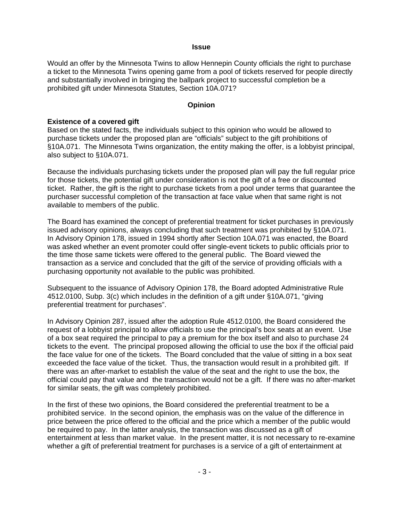#### **Issue**

Would an offer by the Minnesota Twins to allow Hennepin County officials the right to purchase a ticket to the Minnesota Twins opening game from a pool of tickets reserved for people directly and substantially involved in bringing the ballpark project to successful completion be a prohibited gift under Minnesota Statutes, Section 10A.071?

### **Opinion**

### **Existence of a covered gift**

Based on the stated facts, the individuals subject to this opinion who would be allowed to purchase tickets under the proposed plan are "officials" subject to the gift prohibitions of §10A.071. The Minnesota Twins organization, the entity making the offer, is a lobbyist principal, also subject to §10A.071.

Because the individuals purchasing tickets under the proposed plan will pay the full regular price for those tickets, the potential gift under consideration is not the gift of a free or discounted ticket. Rather, the gift is the right to purchase tickets from a pool under terms that guarantee the purchaser successful completion of the transaction at face value when that same right is not available to members of the public.

The Board has examined the concept of preferential treatment for ticket purchases in previously issued advisory opinions, always concluding that such treatment was prohibited by §10A.071. In Advisory Opinion 178, issued in 1994 shortly after Section 10A.071 was enacted, the Board was asked whether an event promoter could offer single-event tickets to public officials prior to the time those same tickets were offered to the general public. The Board viewed the transaction as a service and concluded that the gift of the service of providing officials with a purchasing opportunity not available to the public was prohibited.

Subsequent to the issuance of Advisory Opinion 178, the Board adopted Administrative Rule 4512.0100, Subp. 3(c) which includes in the definition of a gift under §10A.071, "giving preferential treatment for purchases".

In Advisory Opinion 287, issued after the adoption Rule 4512.0100, the Board considered the request of a lobbyist principal to allow officials to use the principal's box seats at an event. Use of a box seat required the principal to pay a premium for the box itself and also to purchase 24 tickets to the event. The principal proposed allowing the official to use the box if the official paid the face value for one of the tickets. The Board concluded that the value of sitting in a box seat exceeded the face value of the ticket. Thus, the transaction would result in a prohibited gift. If there was an after-market to establish the value of the seat and the right to use the box, the official could pay that value and the transaction would not be a gift. If there was no after-market for similar seats, the gift was completely prohibited.

In the first of these two opinions, the Board considered the preferential treatment to be a prohibited service. In the second opinion, the emphasis was on the value of the difference in price between the price offered to the official and the price which a member of the public would be required to pay. In the latter analysis, the transaction was discussed as a gift of entertainment at less than market value. In the present matter, it is not necessary to re-examine whether a gift of preferential treatment for purchases is a service of a gift of entertainment at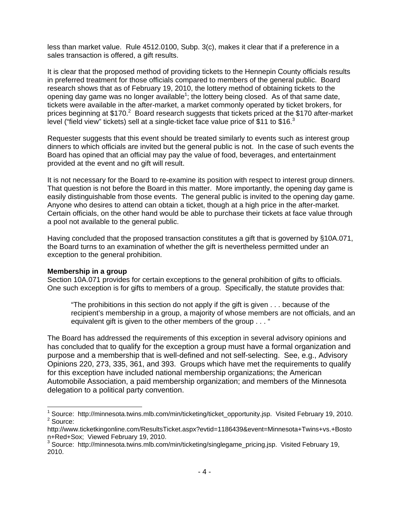less than market value. Rule 4512.0100, Subp. 3(c), makes it clear that if a preference in a sales transaction is offered, a gift results.

It is clear that the proposed method of providing tickets to the Hennepin County officials results in preferred treatment for those officials compared to members of the general public. Board research shows that as of February 19, 2010, the lottery method of obtaining tickets to the opening day game was no longer available<sup>1</sup>; the lottery being closed. As of that same date, tickets were available in the after-market, a market commonly operated by ticket brokers, for prices beginning at \$170.<sup>2</sup> Board research suggests that tickets priced at the \$170 after-market level ("field view" tickets) sell at a single-ticket face value price of \$11 to \$16.<sup>3</sup>

Requester suggests that this event should be treated similarly to events such as interest group dinners to which officials are invited but the general public is not. In the case of such events the Board has opined that an official may pay the value of food, beverages, and entertainment provided at the event and no gift will result.

It is not necessary for the Board to re-examine its position with respect to interest group dinners. That question is not before the Board in this matter. More importantly, the opening day game is easily distinguishable from those events. The general public is invited to the opening day game. Anyone who desires to attend can obtain a ticket, though at a high price in the after-market. Certain officials, on the other hand would be able to purchase their tickets at face value through a pool not available to the general public.

Having concluded that the proposed transaction constitutes a gift that is governed by §10A.071, the Board turns to an examination of whether the gift is nevertheless permitted under an exception to the general prohibition.

### **Membership in a group**

Section 10A.071 provides for certain exceptions to the general prohibition of gifts to officials. One such exception is for gifts to members of a group. Specifically, the statute provides that:

"The prohibitions in this section do not apply if the gift is given . . . because of the recipient's membership in a group, a majority of whose members are not officials, and an equivalent gift is given to the other members of the group . . . "

The Board has addressed the requirements of this exception in several advisory opinions and has concluded that to qualify for the exception a group must have a formal organization and purpose and a membership that is well-defined and not self-selecting. See, e.g., Advisory Opinions 220, 273, 335, 361, and 393. Groups which have met the requirements to qualify for this exception have included national membership organizations; the American Automobile Association, a paid membership organization; and members of the Minnesota delegation to a political party convention.

<sup>1&</sup>lt;br>1 Source: http://minnesota.twins.mlb.com/min/ticketing/ticket\_opportunity.jsp. Visited February 19, 2010. <sup>2</sup> Source:

http://www.ticketkingonline.com/ResultsTicket.aspx?evtid=1186439&event=Minnesota+Twins+vs.+Bosto n+Red+Sox; Viewed February 19, 2010.

 $3$  Source: http://minnesota.twins.mlb.com/min/ticketing/singlegame\_pricing.jsp. Visited February 19, 2010.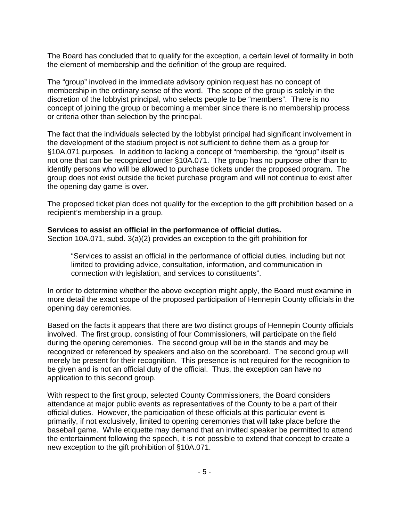The Board has concluded that to qualify for the exception, a certain level of formality in both the element of membership and the definition of the group are required.

The "group" involved in the immediate advisory opinion request has no concept of membership in the ordinary sense of the word. The scope of the group is solely in the discretion of the lobbyist principal, who selects people to be "members". There is no concept of joining the group or becoming a member since there is no membership process or criteria other than selection by the principal.

The fact that the individuals selected by the lobbyist principal had significant involvement in the development of the stadium project is not sufficient to define them as a group for §10A.071 purposes. In addition to lacking a concept of "membership, the "group" itself is not one that can be recognized under §10A.071. The group has no purpose other than to identify persons who will be allowed to purchase tickets under the proposed program. The group does not exist outside the ticket purchase program and will not continue to exist after the opening day game is over.

The proposed ticket plan does not qualify for the exception to the gift prohibition based on a recipient's membership in a group.

## **Services to assist an official in the performance of official duties.**

Section 10A.071, subd. 3(a)(2) provides an exception to the gift prohibition for

"Services to assist an official in the performance of official duties, including but not limited to providing advice, consultation, information, and communication in connection with legislation, and services to constituents".

In order to determine whether the above exception might apply, the Board must examine in more detail the exact scope of the proposed participation of Hennepin County officials in the opening day ceremonies.

Based on the facts it appears that there are two distinct groups of Hennepin County officials involved. The first group, consisting of four Commissioners, will participate on the field during the opening ceremonies. The second group will be in the stands and may be recognized or referenced by speakers and also on the scoreboard. The second group will merely be present for their recognition. This presence is not required for the recognition to be given and is not an official duty of the official. Thus, the exception can have no application to this second group.

With respect to the first group, selected County Commissioners, the Board considers attendance at major public events as representatives of the County to be a part of their official duties. However, the participation of these officials at this particular event is primarily, if not exclusively, limited to opening ceremonies that will take place before the baseball game. While etiquette may demand that an invited speaker be permitted to attend the entertainment following the speech, it is not possible to extend that concept to create a new exception to the gift prohibition of §10A.071.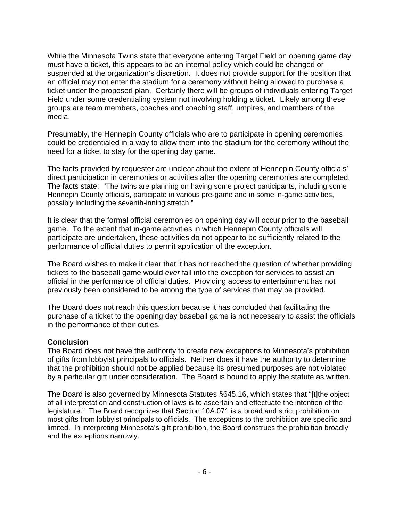While the Minnesota Twins state that everyone entering Target Field on opening game day must have a ticket, this appears to be an internal policy which could be changed or suspended at the organization's discretion. It does not provide support for the position that an official may not enter the stadium for a ceremony without being allowed to purchase a ticket under the proposed plan. Certainly there will be groups of individuals entering Target Field under some credentialing system not involving holding a ticket. Likely among these groups are team members, coaches and coaching staff, umpires, and members of the media.

Presumably, the Hennepin County officials who are to participate in opening ceremonies could be credentialed in a way to allow them into the stadium for the ceremony without the need for a ticket to stay for the opening day game.

The facts provided by requester are unclear about the extent of Hennepin County officials' direct participation in ceremonies or activities after the opening ceremonies are completed. The facts state: "The twins are planning on having some project participants, including some Hennepin County officials, participate in various pre-game and in some in-game activities, possibly including the seventh-inning stretch."

It is clear that the formal official ceremonies on opening day will occur prior to the baseball game. To the extent that in-game activities in which Hennepin County officials will participate are undertaken, these activities do not appear to be sufficiently related to the performance of official duties to permit application of the exception.

The Board wishes to make it clear that it has not reached the question of whether providing tickets to the baseball game would *ever* fall into the exception for services to assist an official in the performance of official duties. Providing access to entertainment has not previously been considered to be among the type of services that may be provided.

The Board does not reach this question because it has concluded that facilitating the purchase of a ticket to the opening day baseball game is not necessary to assist the officials in the performance of their duties.

### **Conclusion**

The Board does not have the authority to create new exceptions to Minnesota's prohibition of gifts from lobbyist principals to officials. Neither does it have the authority to determine that the prohibition should not be applied because its presumed purposes are not violated by a particular gift under consideration. The Board is bound to apply the statute as written.

The Board is also governed by Minnesota Statutes §645.16, which states that "[t]the object of all interpretation and construction of laws is to ascertain and effectuate the intention of the legislature." The Board recognizes that Section 10A.071 is a broad and strict prohibition on most gifts from lobbyist principals to officials. The exceptions to the prohibition are specific and limited. In interpreting Minnesota's gift prohibition, the Board construes the prohibition broadly and the exceptions narrowly.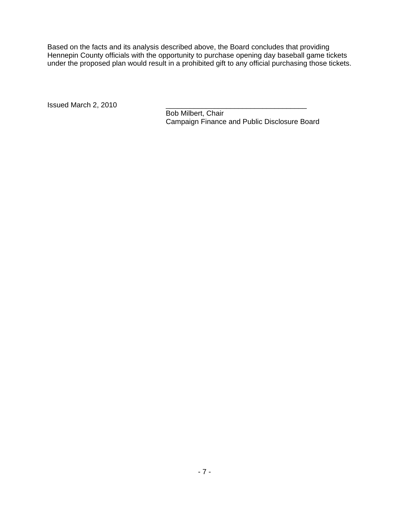Based on the facts and its analysis described above, the Board concludes that providing Hennepin County officials with the opportunity to purchase opening day baseball game tickets under the proposed plan would result in a prohibited gift to any official purchasing those tickets.

Issued March 2, 2010

 Bob Milbert, Chair Campaign Finance and Public Disclosure Board